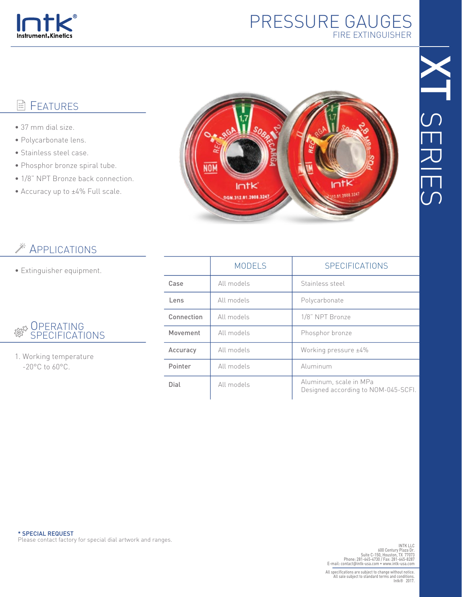

## PRESSURE GAUGES FIRE EXTINGUISHER

## **图 FEATURES**

- 37 mm dial size.
- Polycarbonate lens.
- Stainless steel case.
- Phosphor bronze spiral tube.
- 1/8" NPT Bronze back connection.
- Accuracy up to ±4% Full scale.



## **APPLICATIONS**

• Extinguisher equipment.

|  | <b>SERATING</b><br><sup>發</sup> SPECIFICATIONS |
|--|------------------------------------------------|
|--|------------------------------------------------|

1. Working temperature -20°C to 60°C.

|            | <b>MODELS</b> | <b>SPECIFICATIONS</b>                                         |
|------------|---------------|---------------------------------------------------------------|
| Case       | All models    | Stainless steel                                               |
| Lens       | All models    | Polycarbonate                                                 |
| Connection | All models    | 1/8" NPT Bronze                                               |
| Movement   | All models    | Phosphor bronze                                               |
| Accuracy   | All models    | Working pressure ±4%                                          |
| Pointer    | All models    | Aluminum                                                      |
| Dial       | All models    | Aluminum, scale in MPa<br>Designed according to NOM-045-SCFI. |